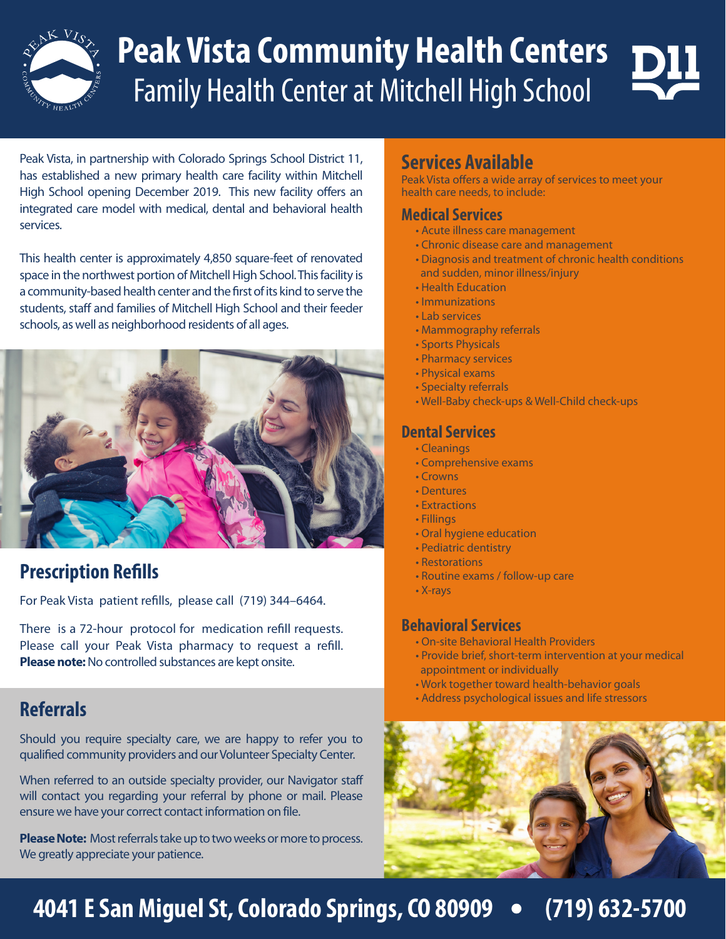

# **Peak Vista Community Health Centers** Family Health Center at Mitchell High School

Peak Vista, in partnership with Colorado Springs School District 11, has established a new primary health care facility within Mitchell High School opening December 2019. This new facility offers an integrated care model with medical, dental and behavioral health services.

This health center is approximately 4,850 square-feet of renovated space in the northwest portion of Mitchell High School. This facility is a community-based health center and the first of its kind to serve the students, staff and families of Mitchell High School and their feeder schools, as well as neighborhood residents of all ages.



# **Prescription Refills**

For Peak Vista patient refills, please call (719) 344–6464.

There is a 72-hour protocol for medication refill requests. Please call your Peak Vista pharmacy to request a refill. **Please note:** No controlled substances are kept onsite.

Should you require specialty care, we are happy to refer you to qualified community providers and our Volunteer Specialty Center.

When referred to an outside specialty provider, our Navigator staff will contact you regarding your referral by phone or mail. Please ensure we have your correct contact information on file.

**Please Note:** Most referrals take up to two weeks or more to process. We greatly appreciate your patience.

#### **Services Available**

Peak Vista offers a wide array of services to meet your health care needs, to include:

#### **Medical Services**

- Acute illness care management
- Chronic disease care and management
- Diagnosis and treatment of chronic health conditions
- and sudden, minor illness/injury
- Health Education
- Immunizations
- Lab services
- Mammography referrals
- Sports Physicals
- Pharmacy services
- Physical exams
- Specialty referrals
- Well-Baby check-ups & Well-Child check-ups

#### **Dental Services**

- Cleanings
- Comprehensive exams
- Crowns
- Dentures
- Extractions
- Fillings
- Oral hygiene education
- Pediatric dentistry
- Restorations
- Routine exams / follow-up care
- X-rays

#### **Behavioral Services**

- On-site Behavioral Health Providers
- Provide brief, short-term intervention at your medical appointment or individually
- Work together toward health-behavior goals
- Address psychological issues and life stressors **Referrals**



# **4041 E San Miguel St, Colorado Springs, CO 80909 (719) 632-5700**